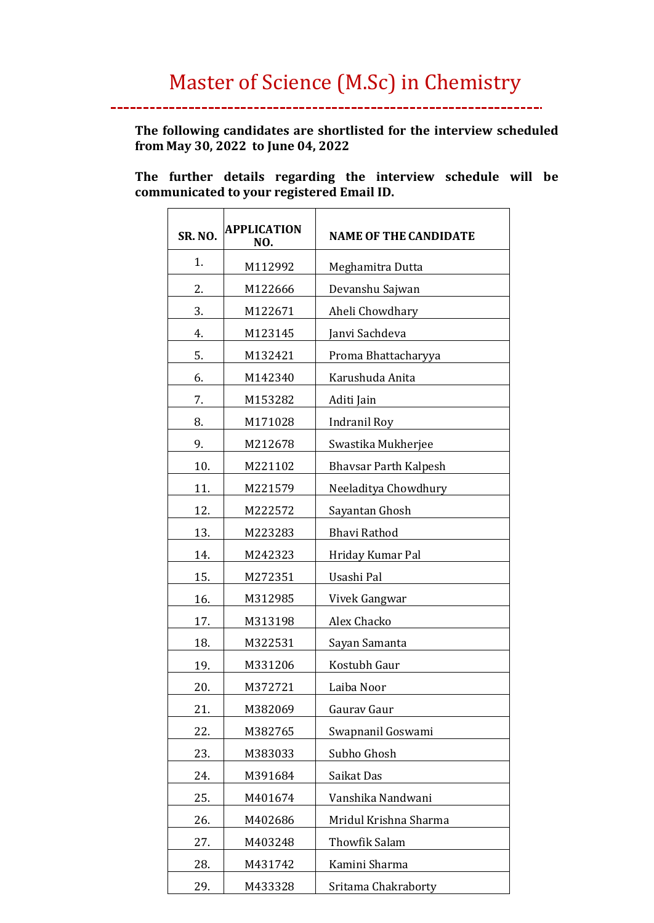.<br>...

**The following candidates are shortlisted for the interview scheduled from May 30, 2022 to June 04, 2022**

**The further details regarding the interview schedule will be communicated to your registered Email ID.** 

| <b>SR. NO.</b> | APPLICATION<br>NO. | <b>NAME OF THE CANDIDATE</b> |
|----------------|--------------------|------------------------------|
| 1.             | M112992            | Meghamitra Dutta             |
| 2.             | M122666            | Devanshu Sajwan              |
| 3.             | M122671            | Aheli Chowdhary              |
| 4.             | M123145            | Janvi Sachdeva               |
| 5.             | M132421            | Proma Bhattacharyya          |
| 6.             | M142340            | Karushuda Anita              |
| 7.             | M153282            | Aditi Jain                   |
| 8.             | M171028            | Indranil Roy                 |
| 9.             | M212678            | Swastika Mukherjee           |
| 10.            | M221102            | <b>Bhavsar Parth Kalpesh</b> |
| 11.            | M221579            | Neeladitya Chowdhury         |
| 12.            | M222572            | Sayantan Ghosh               |
| 13.            | M223283            | <b>Bhavi Rathod</b>          |
| 14.            | M242323            | Hriday Kumar Pal             |
| 15.            | M272351            | Usashi Pal                   |
| 16.            | M312985            | Vivek Gangwar                |
| 17.            | M313198            | Alex Chacko                  |
| 18.            | M322531            | Sayan Samanta                |
| 19.            | M331206            | Kostubh Gaur                 |
| 20.            | M372721            | Laiba Noor                   |
| 21.            | M382069            | Gaurav Gaur                  |
| 22.            | M382765            | Swapnanil Goswami            |
| 23.            | M383033            | Subho Ghosh                  |
| 24.            | M391684            | Saikat Das                   |
| 25.            | M401674            | Vanshika Nandwani            |
| 26.            | M402686            | Mridul Krishna Sharma        |
| 27.            | M403248            | <b>Thowfik Salam</b>         |
| 28.            | M431742            | Kamini Sharma                |
| 29.            | M433328            | Sritama Chakraborty          |